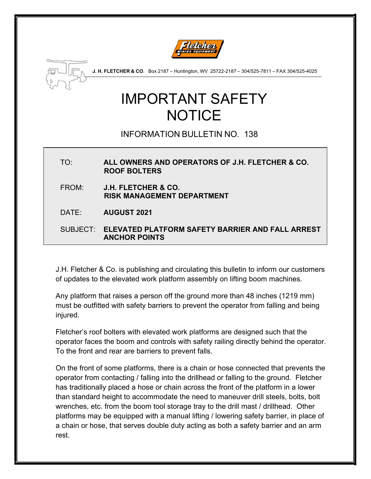



 **J. H. FLETCHER & CO**. Box 2187 – Huntington, WV 25722-2187 – 304/525-7811 – FAX 304/525-4025

## IMPORTANT SAFETY NOTICE

## INFORMATION BULLETIN NO. 138

TO: **ALL OWNERS AND OPERATORS OF J.H. FLETCHER & CO. ROOF BOLTERS** FROM: **J.H. FLETCHER & CO. RISK MANAGEMENT DEPARTMENT** DATE: **AUGUST 2021** SUBJECT: **ELEVATED PLATFORM SAFETY BARRIER AND FALL ARREST ANCHOR POINTS**

J.H. Fletcher & Co. is publishing and circulating this bulletin to inform our customers of updates to the elevated work platform assembly on lifting boom machines.

Any platform that raises a person off the ground more than 48 inches (1219 mm) must be outfitted with safety barriers to prevent the operator from falling and being injured.

Fletcher's roof bolters with elevated work platforms are designed such that the operator faces the boom and controls with safety railing directly behind the operator. To the front and rear are barriers to prevent falls.

On the front of some platforms, there is a chain or hose connected that prevents the operator from contacting / falling into the drillhead or falling to the ground. Fletcher has traditionally placed a hose or chain across the front of the platform in a lower than standard height to accommodate the need to maneuver drill steels, bolts, bolt wrenches, etc. from the boom tool storage tray to the drill mast / drillhead. Other platforms may be equipped with a manual lifting / lowering safety barrier, in place of a chain or hose, that serves double duty acting as both a safety barrier and an arm rest.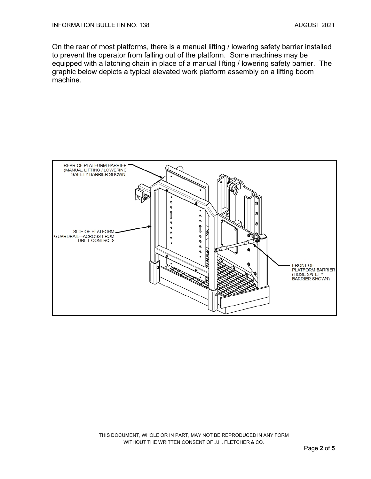On the rear of most platforms, there is a manual lifting / lowering safety barrier installed to prevent the operator from falling out of the platform. Some machines may be equipped with a latching chain in place of a manual lifting / lowering safety barrier. The graphic below depicts a typical elevated work platform assembly on a lifting boom machine.



THIS DOCUMENT, WHOLE OR IN PART, MAY NOT BE REPRODUCED IN ANY FORM WITHOUT THE WRITTEN CONSENT OF J.H. FLETCHER & CO.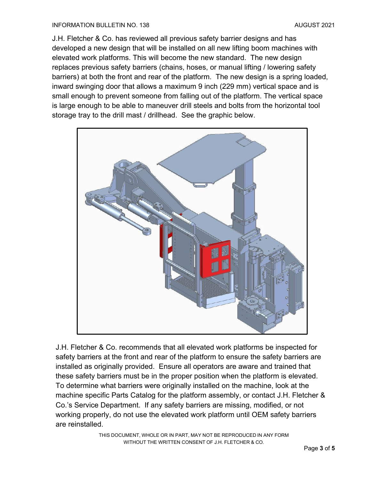## INFORMATION BULLETIN NO. 138 AUGUST 2021

J.H. Fletcher & Co. has reviewed all previous safety barrier designs and has developed a new design that will be installed on all new lifting boom machines with elevated work platforms. This will become the new standard. The new design replaces previous safety barriers (chains, hoses, or manual lifting / lowering safety barriers) at both the front and rear of the platform. The new design is a spring loaded, inward swinging door that allows a maximum 9 inch (229 mm) vertical space and is small enough to prevent someone from falling out of the platform. The vertical space is large enough to be able to maneuver drill steels and bolts from the horizontal tool storage tray to the drill mast / drillhead. See the graphic below.



J.H. Fletcher & Co. recommends that all elevated work platforms be inspected for safety barriers at the front and rear of the platform to ensure the safety barriers are installed as originally provided. Ensure all operators are aware and trained that these safety barriers must be in the proper position when the platform is elevated. To determine what barriers were originally installed on the machine, look at the machine specific Parts Catalog for the platform assembly, or contact J.H. Fletcher & Co.'s Service Department. If any safety barriers are missing, modified, or not working properly, do not use the elevated work platform until OEM safety barriers are reinstalled.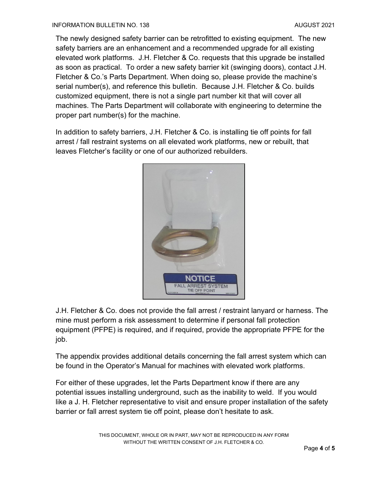The newly designed safety barrier can be retrofitted to existing equipment. The new safety barriers are an enhancement and a recommended upgrade for all existing elevated work platforms. J.H. Fletcher & Co. requests that this upgrade be installed as soon as practical. To order a new safety barrier kit (swinging doors), contact J.H. Fletcher & Co.'s Parts Department. When doing so, please provide the machine's serial number(s), and reference this bulletin. Because J.H. Fletcher & Co. builds customized equipment, there is not a single part number kit that will cover all machines. The Parts Department will collaborate with engineering to determine the proper part number(s) for the machine.

In addition to safety barriers, J.H. Fletcher & Co. is installing tie off points for fall arrest / fall restraint systems on all elevated work platforms, new or rebuilt, that leaves Fletcher's facility or one of our authorized rebuilders.



J.H. Fletcher & Co. does not provide the fall arrest / restraint lanyard or harness. The mine must perform a risk assessment to determine if personal fall protection equipment (PFPE) is required, and if required, provide the appropriate PFPE for the job.

The appendix provides additional details concerning the fall arrest system which can be found in the Operator's Manual for machines with elevated work platforms.

For either of these upgrades, let the Parts Department know if there are any potential issues installing underground, such as the inability to weld. If you would like a J. H. Fletcher representative to visit and ensure proper installation of the safety barrier or fall arrest system tie off point, please don't hesitate to ask.